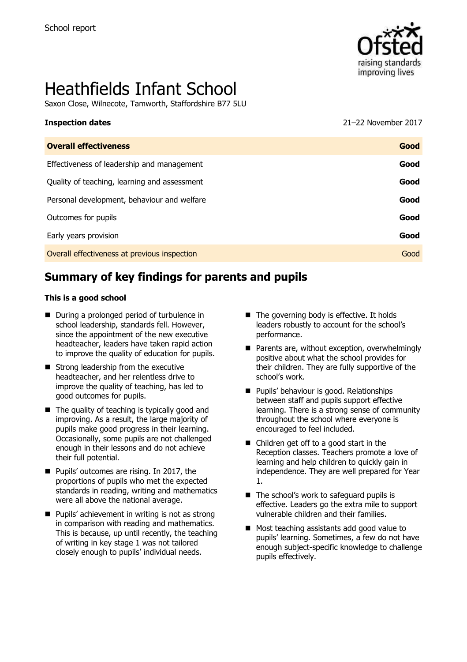

# Heathfields Infant School

Saxon Close, Wilnecote, Tamworth, Staffordshire B77 5LU

#### **Inspection dates** 2017 **CONSERVISTED 2017** 21–22 November 2017

| <b>Overall effectiveness</b>                 | Good |
|----------------------------------------------|------|
| Effectiveness of leadership and management   | Good |
| Quality of teaching, learning and assessment | Good |
| Personal development, behaviour and welfare  | Good |
| Outcomes for pupils                          | Good |
| Early years provision                        | Good |
| Overall effectiveness at previous inspection | Good |
|                                              |      |

# **Summary of key findings for parents and pupils**

#### **This is a good school**

- During a prolonged period of turbulence in school leadership, standards fell. However, since the appointment of the new executive headteacher, leaders have taken rapid action to improve the quality of education for pupils.
- Strong leadership from the executive headteacher, and her relentless drive to improve the quality of teaching, has led to good outcomes for pupils.
- $\blacksquare$  The quality of teaching is typically good and improving. As a result, the large majority of pupils make good progress in their learning. Occasionally, some pupils are not challenged enough in their lessons and do not achieve their full potential.
- **Pupils' outcomes are rising. In 2017, the** proportions of pupils who met the expected standards in reading, writing and mathematics were all above the national average.
- $\blacksquare$  Pupils' achievement in writing is not as strong in comparison with reading and mathematics. This is because, up until recently, the teaching of writing in key stage 1 was not tailored closely enough to pupils' individual needs.
- The governing body is effective. It holds leaders robustly to account for the school's performance.
- **Parents are, without exception, overwhelmingly** positive about what the school provides for their children. They are fully supportive of the school's work.
- **Pupils' behaviour is good. Relationships** between staff and pupils support effective learning. There is a strong sense of community throughout the school where everyone is encouraged to feel included.
- Children get off to a good start in the Reception classes. Teachers promote a love of learning and help children to quickly gain in independence. They are well prepared for Year 1.
- The school's work to safeguard pupils is effective. Leaders go the extra mile to support vulnerable children and their families.
- Most teaching assistants add good value to pupils' learning. Sometimes, a few do not have enough subject-specific knowledge to challenge pupils effectively.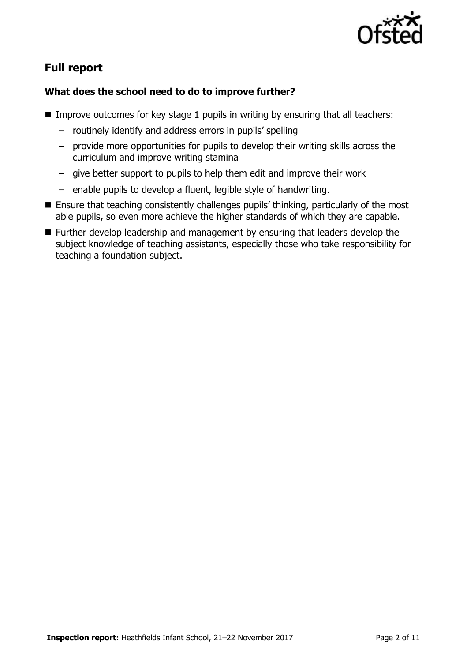

# **Full report**

### **What does the school need to do to improve further?**

- Improve outcomes for key stage 1 pupils in writing by ensuring that all teachers:
	- routinely identify and address errors in pupils' spelling
	- provide more opportunities for pupils to develop their writing skills across the curriculum and improve writing stamina
	- give better support to pupils to help them edit and improve their work
	- enable pupils to develop a fluent, legible style of handwriting.
- Ensure that teaching consistently challenges pupils' thinking, particularly of the most able pupils, so even more achieve the higher standards of which they are capable.
- Further develop leadership and management by ensuring that leaders develop the subject knowledge of teaching assistants, especially those who take responsibility for teaching a foundation subject.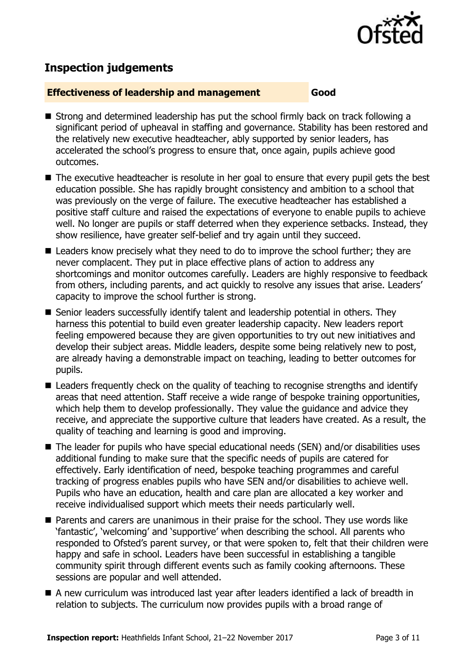

# **Inspection judgements**

#### **Effectiveness of leadership and management Good**

- Strong and determined leadership has put the school firmly back on track following a significant period of upheaval in staffing and governance. Stability has been restored and the relatively new executive headteacher, ably supported by senior leaders, has accelerated the school's progress to ensure that, once again, pupils achieve good outcomes.
- The executive headteacher is resolute in her goal to ensure that every pupil gets the best education possible. She has rapidly brought consistency and ambition to a school that was previously on the verge of failure. The executive headteacher has established a positive staff culture and raised the expectations of everyone to enable pupils to achieve well. No longer are pupils or staff deterred when they experience setbacks. Instead, they show resilience, have greater self-belief and try again until they succeed.
- Leaders know precisely what they need to do to improve the school further; they are never complacent. They put in place effective plans of action to address any shortcomings and monitor outcomes carefully. Leaders are highly responsive to feedback from others, including parents, and act quickly to resolve any issues that arise. Leaders' capacity to improve the school further is strong.
- Senior leaders successfully identify talent and leadership potential in others. They harness this potential to build even greater leadership capacity. New leaders report feeling empowered because they are given opportunities to try out new initiatives and develop their subject areas. Middle leaders, despite some being relatively new to post, are already having a demonstrable impact on teaching, leading to better outcomes for pupils.
- Leaders frequently check on the quality of teaching to recognise strengths and identify areas that need attention. Staff receive a wide range of bespoke training opportunities, which help them to develop professionally. They value the guidance and advice they receive, and appreciate the supportive culture that leaders have created. As a result, the quality of teaching and learning is good and improving.
- The leader for pupils who have special educational needs (SEN) and/or disabilities uses additional funding to make sure that the specific needs of pupils are catered for effectively. Early identification of need, bespoke teaching programmes and careful tracking of progress enables pupils who have SEN and/or disabilities to achieve well. Pupils who have an education, health and care plan are allocated a key worker and receive individualised support which meets their needs particularly well.
- **Parents and carers are unanimous in their praise for the school. They use words like** 'fantastic', 'welcoming' and 'supportive' when describing the school. All parents who responded to Ofsted's parent survey, or that were spoken to, felt that their children were happy and safe in school. Leaders have been successful in establishing a tangible community spirit through different events such as family cooking afternoons. These sessions are popular and well attended.
- A new curriculum was introduced last year after leaders identified a lack of breadth in relation to subjects. The curriculum now provides pupils with a broad range of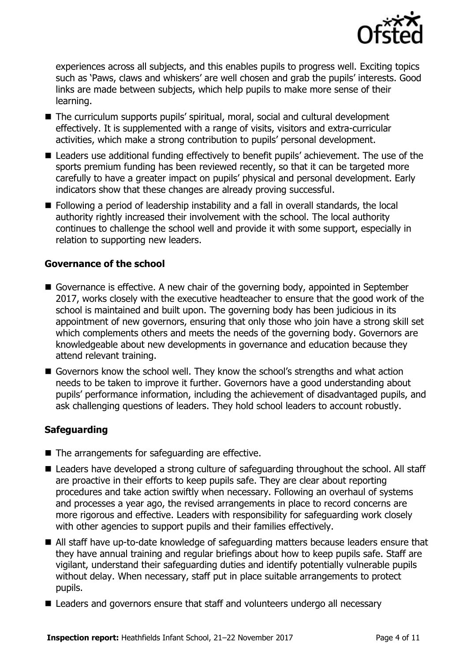

experiences across all subjects, and this enables pupils to progress well. Exciting topics such as 'Paws, claws and whiskers' are well chosen and grab the pupils' interests. Good links are made between subjects, which help pupils to make more sense of their learning.

- The curriculum supports pupils' spiritual, moral, social and cultural development effectively. It is supplemented with a range of visits, visitors and extra-curricular activities, which make a strong contribution to pupils' personal development.
- Leaders use additional funding effectively to benefit pupils' achievement. The use of the sports premium funding has been reviewed recently, so that it can be targeted more carefully to have a greater impact on pupils' physical and personal development. Early indicators show that these changes are already proving successful.
- Following a period of leadership instability and a fall in overall standards, the local authority rightly increased their involvement with the school. The local authority continues to challenge the school well and provide it with some support, especially in relation to supporting new leaders.

### **Governance of the school**

- Governance is effective. A new chair of the governing body, appointed in September 2017, works closely with the executive headteacher to ensure that the good work of the school is maintained and built upon. The governing body has been judicious in its appointment of new governors, ensuring that only those who join have a strong skill set which complements others and meets the needs of the governing body. Governors are knowledgeable about new developments in governance and education because they attend relevant training.
- Governors know the school well. They know the school's strengths and what action needs to be taken to improve it further. Governors have a good understanding about pupils' performance information, including the achievement of disadvantaged pupils, and ask challenging questions of leaders. They hold school leaders to account robustly.

### **Safeguarding**

- The arrangements for safeguarding are effective.
- Leaders have developed a strong culture of safeguarding throughout the school. All staff are proactive in their efforts to keep pupils safe. They are clear about reporting procedures and take action swiftly when necessary. Following an overhaul of systems and processes a year ago, the revised arrangements in place to record concerns are more rigorous and effective. Leaders with responsibility for safeguarding work closely with other agencies to support pupils and their families effectively.
- All staff have up-to-date knowledge of safeguarding matters because leaders ensure that they have annual training and regular briefings about how to keep pupils safe. Staff are vigilant, understand their safeguarding duties and identify potentially vulnerable pupils without delay. When necessary, staff put in place suitable arrangements to protect pupils.
- Leaders and governors ensure that staff and volunteers undergo all necessary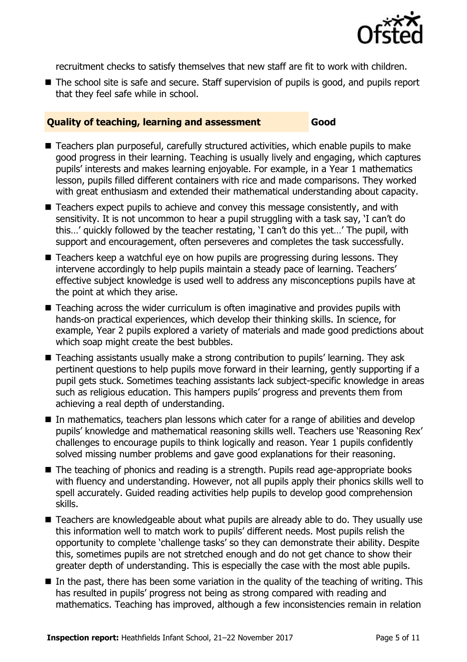

recruitment checks to satisfy themselves that new staff are fit to work with children.

■ The school site is safe and secure. Staff supervision of pupils is good, and pupils report that they feel safe while in school.

### **Quality of teaching, learning and assessment Good**

- Teachers plan purposeful, carefully structured activities, which enable pupils to make good progress in their learning. Teaching is usually lively and engaging, which captures pupils' interests and makes learning enjoyable. For example, in a Year 1 mathematics lesson, pupils filled different containers with rice and made comparisons. They worked with great enthusiasm and extended their mathematical understanding about capacity.
- Teachers expect pupils to achieve and convey this message consistently, and with sensitivity. It is not uncommon to hear a pupil struggling with a task say, 'I can't do this…' quickly followed by the teacher restating, 'I can't do this yet…' The pupil, with support and encouragement, often perseveres and completes the task successfully.
- $\blacksquare$  Teachers keep a watchful eve on how pupils are progressing during lessons. They intervene accordingly to help pupils maintain a steady pace of learning. Teachers' effective subject knowledge is used well to address any misconceptions pupils have at the point at which they arise.
- Teaching across the wider curriculum is often imaginative and provides pupils with hands-on practical experiences, which develop their thinking skills. In science, for example, Year 2 pupils explored a variety of materials and made good predictions about which soap might create the best bubbles.
- Teaching assistants usually make a strong contribution to pupils' learning. They ask pertinent questions to help pupils move forward in their learning, gently supporting if a pupil gets stuck. Sometimes teaching assistants lack subject-specific knowledge in areas such as religious education. This hampers pupils' progress and prevents them from achieving a real depth of understanding.
- In mathematics, teachers plan lessons which cater for a range of abilities and develop pupils' knowledge and mathematical reasoning skills well. Teachers use 'Reasoning Rex' challenges to encourage pupils to think logically and reason. Year 1 pupils confidently solved missing number problems and gave good explanations for their reasoning.
- The teaching of phonics and reading is a strength. Pupils read age-appropriate books with fluency and understanding. However, not all pupils apply their phonics skills well to spell accurately. Guided reading activities help pupils to develop good comprehension skills.
- Teachers are knowledgeable about what pupils are already able to do. They usually use this information well to match work to pupils' different needs. Most pupils relish the opportunity to complete 'challenge tasks' so they can demonstrate their ability. Despite this, sometimes pupils are not stretched enough and do not get chance to show their greater depth of understanding. This is especially the case with the most able pupils.
- $\blacksquare$  In the past, there has been some variation in the quality of the teaching of writing. This has resulted in pupils' progress not being as strong compared with reading and mathematics. Teaching has improved, although a few inconsistencies remain in relation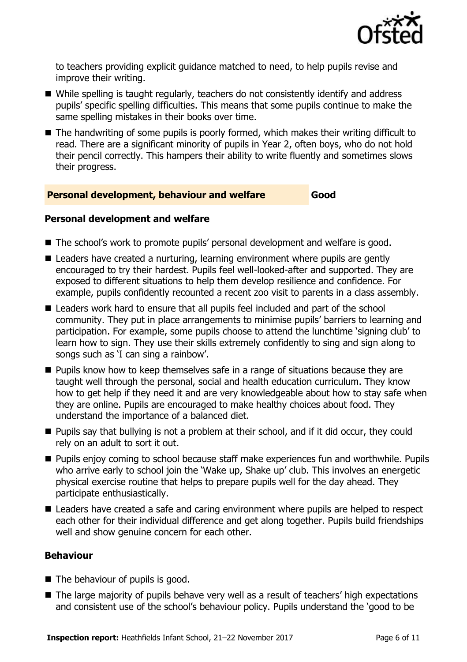

to teachers providing explicit guidance matched to need, to help pupils revise and improve their writing.

- While spelling is taught regularly, teachers do not consistently identify and address pupils' specific spelling difficulties. This means that some pupils continue to make the same spelling mistakes in their books over time.
- The handwriting of some pupils is poorly formed, which makes their writing difficult to read. There are a significant minority of pupils in Year 2, often boys, who do not hold their pencil correctly. This hampers their ability to write fluently and sometimes slows their progress.

### **Personal development, behaviour and welfare Good**

#### **Personal development and welfare**

- The school's work to promote pupils' personal development and welfare is good.
- Leaders have created a nurturing, learning environment where pupils are gently encouraged to try their hardest. Pupils feel well-looked-after and supported. They are exposed to different situations to help them develop resilience and confidence. For example, pupils confidently recounted a recent zoo visit to parents in a class assembly.
- Leaders work hard to ensure that all pupils feel included and part of the school community. They put in place arrangements to minimise pupils' barriers to learning and participation. For example, some pupils choose to attend the lunchtime 'signing club' to learn how to sign. They use their skills extremely confidently to sing and sign along to songs such as 'I can sing a rainbow'.
- **Pupils know how to keep themselves safe in a range of situations because they are** taught well through the personal, social and health education curriculum. They know how to get help if they need it and are very knowledgeable about how to stay safe when they are online. Pupils are encouraged to make healthy choices about food. They understand the importance of a balanced diet.
- **Pupils say that bullying is not a problem at their school, and if it did occur, they could** rely on an adult to sort it out.
- **Pupils enjoy coming to school because staff make experiences fun and worthwhile. Pupils** who arrive early to school join the 'Wake up, Shake up' club. This involves an energetic physical exercise routine that helps to prepare pupils well for the day ahead. They participate enthusiastically.
- Leaders have created a safe and caring environment where pupils are helped to respect each other for their individual difference and get along together. Pupils build friendships well and show genuine concern for each other.

### **Behaviour**

- The behaviour of pupils is good.
- The large majority of pupils behave very well as a result of teachers' high expectations and consistent use of the school's behaviour policy. Pupils understand the 'good to be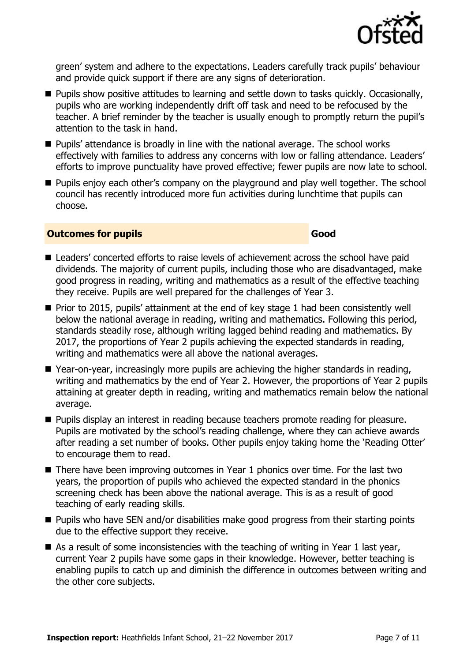

green' system and adhere to the expectations. Leaders carefully track pupils' behaviour and provide quick support if there are any signs of deterioration.

- **Pupils show positive attitudes to learning and settle down to tasks quickly. Occasionally,** pupils who are working independently drift off task and need to be refocused by the teacher. A brief reminder by the teacher is usually enough to promptly return the pupil's attention to the task in hand.
- Pupils' attendance is broadly in line with the national average. The school works effectively with families to address any concerns with low or falling attendance. Leaders' efforts to improve punctuality have proved effective; fewer pupils are now late to school.
- **Pupils enjoy each other's company on the playground and play well together. The school** council has recently introduced more fun activities during lunchtime that pupils can choose.

#### **Outcomes for pupils Good Good**

- Leaders' concerted efforts to raise levels of achievement across the school have paid dividends. The majority of current pupils, including those who are disadvantaged, make good progress in reading, writing and mathematics as a result of the effective teaching they receive. Pupils are well prepared for the challenges of Year 3.
- $\blacksquare$  Prior to 2015, pupils' attainment at the end of key stage 1 had been consistently well below the national average in reading, writing and mathematics. Following this period, standards steadily rose, although writing lagged behind reading and mathematics. By 2017, the proportions of Year 2 pupils achieving the expected standards in reading, writing and mathematics were all above the national averages.
- Year-on-year, increasingly more pupils are achieving the higher standards in reading, writing and mathematics by the end of Year 2. However, the proportions of Year 2 pupils attaining at greater depth in reading, writing and mathematics remain below the national average.
- **Pupils display an interest in reading because teachers promote reading for pleasure.** Pupils are motivated by the school's reading challenge, where they can achieve awards after reading a set number of books. Other pupils enjoy taking home the 'Reading Otter' to encourage them to read.
- There have been improving outcomes in Year 1 phonics over time. For the last two years, the proportion of pupils who achieved the expected standard in the phonics screening check has been above the national average. This is as a result of good teaching of early reading skills.
- $\blacksquare$  Pupils who have SEN and/or disabilities make good progress from their starting points due to the effective support they receive.
- $\blacksquare$  As a result of some inconsistencies with the teaching of writing in Year 1 last year, current Year 2 pupils have some gaps in their knowledge. However, better teaching is enabling pupils to catch up and diminish the difference in outcomes between writing and the other core subjects.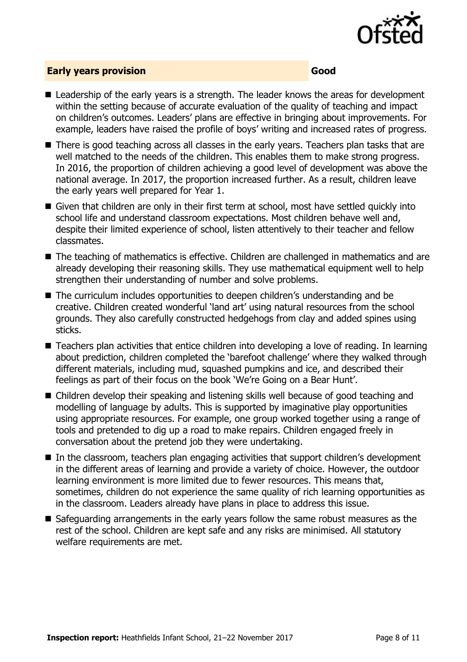

### **Early years provision Good**

- Leadership of the early years is a strength. The leader knows the areas for development within the setting because of accurate evaluation of the quality of teaching and impact on children's outcomes. Leaders' plans are effective in bringing about improvements. For example, leaders have raised the profile of boys' writing and increased rates of progress.
- There is good teaching across all classes in the early years. Teachers plan tasks that are well matched to the needs of the children. This enables them to make strong progress. In 2016, the proportion of children achieving a good level of development was above the national average. In 2017, the proportion increased further. As a result, children leave the early years well prepared for Year 1.
- Given that children are only in their first term at school, most have settled quickly into school life and understand classroom expectations. Most children behave well and, despite their limited experience of school, listen attentively to their teacher and fellow classmates.
- The teaching of mathematics is effective. Children are challenged in mathematics and are already developing their reasoning skills. They use mathematical equipment well to help strengthen their understanding of number and solve problems.
- The curriculum includes opportunities to deepen children's understanding and be creative. Children created wonderful 'land art' using natural resources from the school grounds. They also carefully constructed hedgehogs from clay and added spines using sticks.
- Teachers plan activities that entice children into developing a love of reading. In learning about prediction, children completed the 'barefoot challenge' where they walked through different materials, including mud, squashed pumpkins and ice, and described their feelings as part of their focus on the book 'We're Going on a Bear Hunt'.
- Children develop their speaking and listening skills well because of good teaching and modelling of language by adults. This is supported by imaginative play opportunities using appropriate resources. For example, one group worked together using a range of tools and pretended to dig up a road to make repairs. Children engaged freely in conversation about the pretend job they were undertaking.
- In the classroom, teachers plan engaging activities that support children's development in the different areas of learning and provide a variety of choice. However, the outdoor learning environment is more limited due to fewer resources. This means that, sometimes, children do not experience the same quality of rich learning opportunities as in the classroom. Leaders already have plans in place to address this issue.
- Safeguarding arrangements in the early years follow the same robust measures as the rest of the school. Children are kept safe and any risks are minimised. All statutory welfare requirements are met.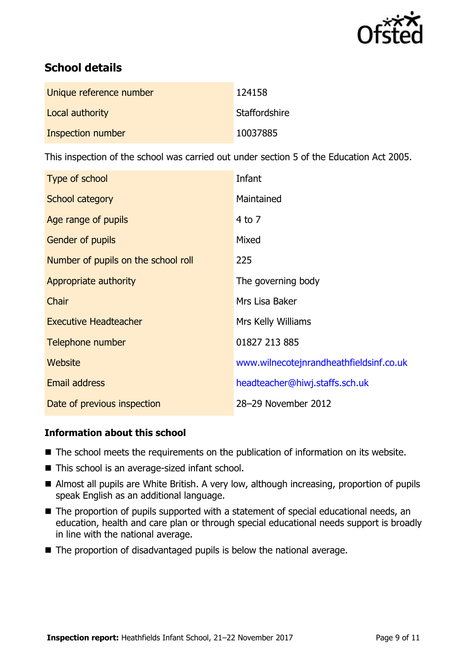

# **School details**

| Unique reference number | 124158        |
|-------------------------|---------------|
| Local authority         | Staffordshire |
| Inspection number       | 10037885      |

This inspection of the school was carried out under section 5 of the Education Act 2005.

| Type of school                      | Infant                                  |
|-------------------------------------|-----------------------------------------|
| School category                     | Maintained                              |
| Age range of pupils                 | $4$ to $7$                              |
| Gender of pupils                    | Mixed                                   |
| Number of pupils on the school roll | 225                                     |
| Appropriate authority               | The governing body                      |
| Chair                               | Mrs Lisa Baker                          |
| <b>Executive Headteacher</b>        | Mrs Kelly Williams                      |
| Telephone number                    | 01827 213 885                           |
| Website                             | www.wilnecotejnrandheathfieldsinf.co.uk |
| <b>Email address</b>                | headteacher@hiwj.staffs.sch.uk          |
| Date of previous inspection         | 28-29 November 2012                     |

### **Information about this school**

- The school meets the requirements on the publication of information on its website.
- This school is an average-sized infant school.
- Almost all pupils are White British. A very low, although increasing, proportion of pupils speak English as an additional language.
- The proportion of pupils supported with a statement of special educational needs, an education, health and care plan or through special educational needs support is broadly in line with the national average.
- The proportion of disadvantaged pupils is below the national average.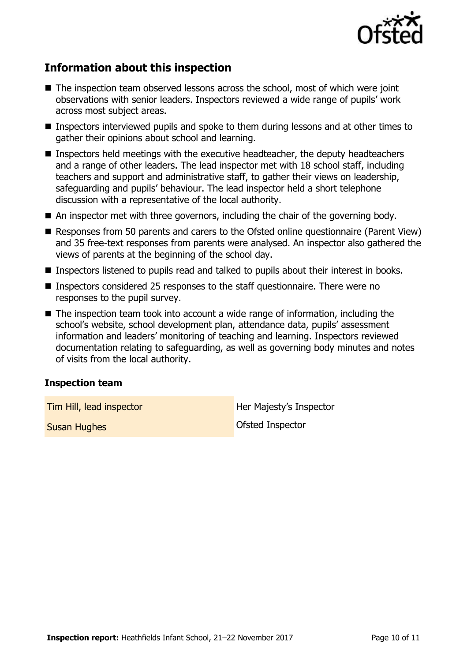

## **Information about this inspection**

- The inspection team observed lessons across the school, most of which were joint observations with senior leaders. Inspectors reviewed a wide range of pupils' work across most subject areas.
- Inspectors interviewed pupils and spoke to them during lessons and at other times to gather their opinions about school and learning.
- Inspectors held meetings with the executive headteacher, the deputy headteachers and a range of other leaders. The lead inspector met with 18 school staff, including teachers and support and administrative staff, to gather their views on leadership, safeguarding and pupils' behaviour. The lead inspector held a short telephone discussion with a representative of the local authority.
- An inspector met with three governors, including the chair of the governing body.
- Responses from 50 parents and carers to the Ofsted online questionnaire (Parent View) and 35 free-text responses from parents were analysed. An inspector also gathered the views of parents at the beginning of the school day.
- Inspectors listened to pupils read and talked to pupils about their interest in books.
- Inspectors considered 25 responses to the staff questionnaire. There were no responses to the pupil survey.
- The inspection team took into account a wide range of information, including the school's website, school development plan, attendance data, pupils' assessment information and leaders' monitoring of teaching and learning. Inspectors reviewed documentation relating to safeguarding, as well as governing body minutes and notes of visits from the local authority.

#### **Inspection team**

**Tim Hill, lead inspector Her Majesty's Inspector** 

**Susan Hughes Controller Susan Hughes** Controller Controller Controller Controller Controller Controller Controller